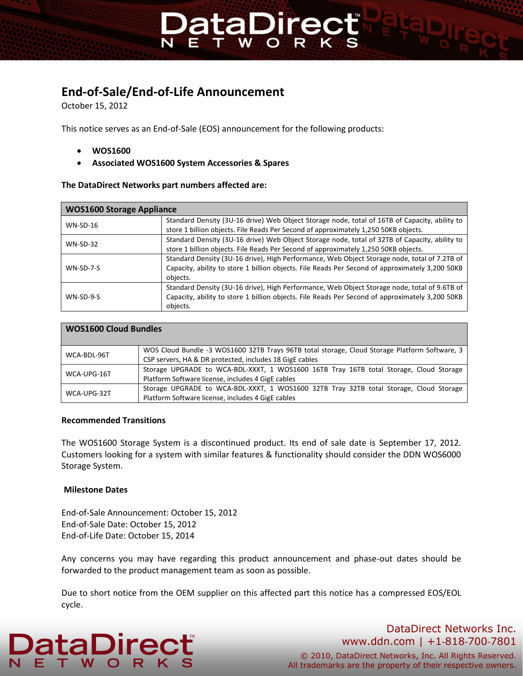# **End-of-Sale/End-of-Life Announcement**

October 15, 2012

This notice serves as an End-of-Sale (EOS) announcement for the following products:

**PataDired** 

- **WOS1600**
- **Associated WOS1600 System Accessories & Spares**

#### **The DataDirect Networks part numbers affected are:**

| <b>WOS1600 Storage Appliance</b> |                                                                                                 |
|----------------------------------|-------------------------------------------------------------------------------------------------|
| $WN-SD-16$                       | Standard Density (3U-16 drive) Web Object Storage node, total of 16TB of Capacity, ability to   |
|                                  | store 1 billion objects. File Reads Per Second of approximately 1,250 50KB objects.             |
| $WN-SD-32$                       | Standard Density (3U-16 drive) Web Object Storage node, total of 32TB of Capacity, ability to   |
|                                  | store 1 billion objects. File Reads Per Second of approximately 1,250 50KB objects.             |
| $WN-SD-7-S$                      | Standard Density (3U-16 drive), High Performance, Web Object Storage node, total of 7.2TB of    |
|                                  | Capacity, ability to store 1 billion objects. File Reads Per Second of approximately 3,200 50KB |
|                                  | objects.                                                                                        |
| $WN-SD-9-S$                      | Standard Density (3U-16 drive), High Performance, Web Object Storage node, total of 9.6TB of    |
|                                  | Capacity, ability to store 1 billion objects. File Reads Per Second of approximately 3,200 50KB |
|                                  | objects.                                                                                        |

| <b>WOS1600 Cloud Bundles</b> |                                                                                                                                                          |
|------------------------------|----------------------------------------------------------------------------------------------------------------------------------------------------------|
| WCA-BDL-96T                  | WOS Cloud Bundle -3 WOS1600 32TB Trays 96TB total storage, Cloud Storage Platform Software, 3<br>CSP servers, HA & DR protected, includes 18 GigE cables |
| WCA-UPG-16T                  | Storage UPGRADE to WCA-BDL-XXXT, 1 WOS1600 16TB Tray 16TB total Storage, Cloud Storage<br>Platform Software license, includes 4 GigE cables              |
| WCA-UPG-32T                  | Storage UPGRADE to WCA-BDL-XXXT, 1 WOS1600 32TB Tray 32TB total Storage, Cloud Storage<br>Platform Software license, includes 4 GigE cables              |

#### **Recommended Transitions**

The WOS1600 Storage System is a discontinued product. Its end of sale date is September 17, 2012. Customers looking for a system with similar features & functionality should consider the DDN WOS6000 Storage System.

#### **Milestone Dates**

End-of-Sale Announcement: October 15, 2012 End-of-Sale Date: October 15, 2012 End-of-Life Date: October 15, 2014

Any concerns you may have regarding this product announcement and phase-out dates should be forwarded to the product management team as soon as possible.

Due to short notice from the OEM supplier on this affected part this notice has a compressed EOS/EOL cycle.



### DataDirect Networks Inc. www.ddn.com | +1‐818‐700‐7801

© 2010, DataDirect Networks, Inc. All Rights Reserved. All trademarks are the property of their respective owners.